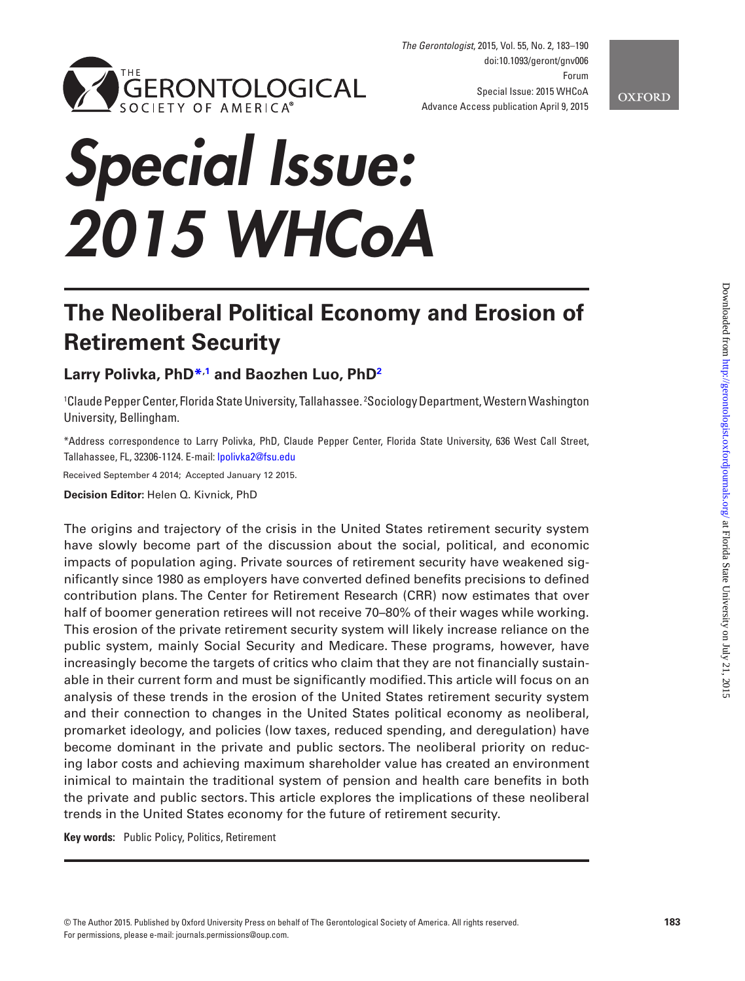



# *Special Issue: 2015 WHCoA*

## **The Neoliberal Political Economy and Erosion of Retirement Security**

### **Larry Polivka, PhD[\\*,](#page-0-0)[1](#page-0-1) and Baozhen Luo, PhD[2](#page-0-2)**

<span id="page-0-2"></span><span id="page-0-1"></span>1 Claude Pepper Center, Florida State University, Tallahassee. 2 Sociology Department, Western Washington University, Bellingham.

<span id="page-0-0"></span>\*Address correspondence to Larry Polivka, PhD, Claude Pepper Center, Florida State University, 636 West Call Street, Tallahassee, FL, 32306-1124. E-mail: [lpolivka2@fsu.edu](mailto:lpolivka2@fsu.edu?subject=)

Received September 4 2014; Accepted January 12 2015.

**Decision Editor:** Helen Q. Kivnick, PhD

The origins and trajectory of the crisis in the United States retirement security system have slowly become part of the discussion about the social, political, and economic impacts of population aging. Private sources of retirement security have weakened significantly since 1980 as employers have converted defined benefits precisions to defined contribution plans. The Center for Retirement Research (CRR) now estimates that over half of boomer generation retirees will not receive 70–80% of their wages while working. This erosion of the private retirement security system will likely increase reliance on the public system, mainly Social Security and Medicare. These programs, however, have increasingly become the targets of critics who claim that they are not financially sustainable in their current form and must be significantly modified. This article will focus on an analysis of these trends in the erosion of the United States retirement security system and their connection to changes in the United States political economy as neoliberal, promarket ideology, and policies (low taxes, reduced spending, and deregulation) have become dominant in the private and public sectors. The neoliberal priority on reducing labor costs and achieving maximum shareholder value has created an environment inimical to maintain the traditional system of pension and health care benefits in both the private and public sectors. This article explores the implications of these neoliberal trends in the United States economy for the future of retirement security.

**Key words:** Public Policy, Politics, Retirement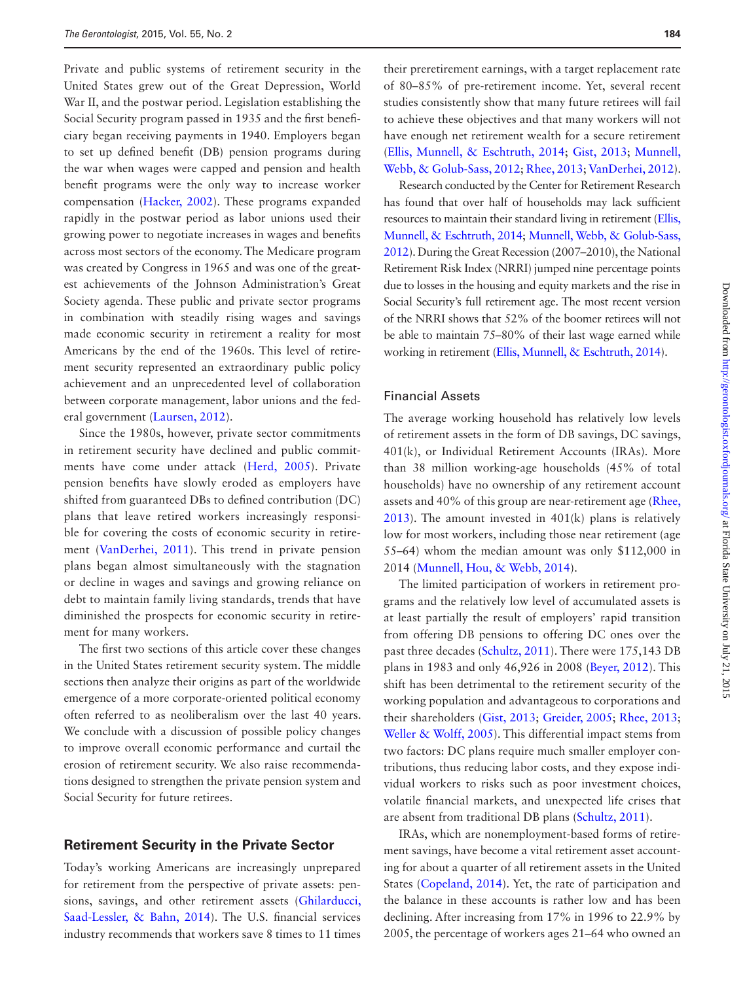Private and public systems of retirement security in the United States grew out of the Great Depression, World War II, and the postwar period. Legislation establishing the Social Security program passed in 1935 and the first beneficiary began receiving payments in 1940. Employers began to set up defined benefit (DB) pension programs during the war when wages were capped and pension and health benefit programs were the only way to increase worker compensation ([Hacker, 2002\)](#page-6-0). These programs expanded rapidly in the postwar period as labor unions used their growing power to negotiate increases in wages and benefits across most sectors of the economy. The Medicare program was created by Congress in 1965 and was one of the greatest achievements of the Johnson Administration's Great Society agenda. These public and private sector programs in combination with steadily rising wages and savings made economic security in retirement a reality for most Americans by the end of the 1960s. This level of retirement security represented an extraordinary public policy achievement and an unprecedented level of collaboration between corporate management, labor unions and the federal government ([Laursen, 2012\)](#page-6-1).

Since the 1980s, however, private sector commitments in retirement security have declined and public commitments have come under attack ([Herd, 2005\)](#page-6-2). Private pension benefits have slowly eroded as employers have shifted from guaranteed DBs to defined contribution (DC) plans that leave retired workers increasingly responsible for covering the costs of economic security in retirement [\(VanDerhei, 2011](#page-7-0)). This trend in private pension plans began almost simultaneously with the stagnation or decline in wages and savings and growing reliance on debt to maintain family living standards, trends that have diminished the prospects for economic security in retirement for many workers.

The first two sections of this article cover these changes in the United States retirement security system. The middle sections then analyze their origins as part of the worldwide emergence of a more corporate-oriented political economy often referred to as neoliberalism over the last 40 years. We conclude with a discussion of possible policy changes to improve overall economic performance and curtail the erosion of retirement security. We also raise recommendations designed to strengthen the private pension system and Social Security for future retirees.

#### **Retirement Security in the Private Sector**

Today's working Americans are increasingly unprepared for retirement from the perspective of private assets: pensions, savings, and other retirement assets [\(Ghilarducci,](#page-6-3) [Saad-Lessler, & Bahn, 2014\)](#page-6-3). The U.S. financial services industry recommends that workers save 8 times to 11 times

their preretirement earnings, with a target replacement rate of 80–85% of pre-retirement income. Yet, several recent studies consistently show that many future retirees will fail to achieve these objectives and that many workers will not have enough net retirement wealth for a secure retirement [\(Ellis, Munnell, & Eschtruth, 2014](#page-6-4); [Gist, 2013;](#page-6-5) [Munnell,](#page-6-6) [Webb, & Golub-Sass, 2012;](#page-6-6) [Rhee, 2013](#page-6-7); [VanDerhei, 2012\)](#page-7-1).

Research conducted by the Center for Retirement Research has found that over half of households may lack sufficient resources to maintain their standard living in retirement [\(Ellis,](#page-6-4) [Munnell, & Eschtruth, 2014;](#page-6-4) [Munnell, Webb, & Golub-Sass,](#page-6-6) [2012](#page-6-6)). During the Great Recession (2007–2010), the National Retirement Risk Index (NRRI) jumped nine percentage points due to losses in the housing and equity markets and the rise in Social Security's full retirement age. The most recent version of the NRRI shows that 52% of the boomer retirees will not be able to maintain 75–80% of their last wage earned while working in retirement [\(Ellis, Munnell, & Eschtruth, 2014\)](#page-6-4).

#### Financial Assets

The average working household has relatively low levels of retirement assets in the form of DB savings, DC savings, 401(k), or Individual Retirement Accounts (IRAs). More than 38 million working-age households (45% of total households) have no ownership of any retirement account assets and 40% of this group are near-retirement age ([Rhee,](#page-6-7) [2013\)](#page-6-7). The amount invested in  $401(k)$  plans is relatively low for most workers, including those near retirement (age 55–64) whom the median amount was only \$112,000 in 2014 ([Munnell, Hou, & Webb, 2014](#page-6-8)).

The limited participation of workers in retirement programs and the relatively low level of accumulated assets is at least partially the result of employers' rapid transition from offering DB pensions to offering DC ones over the past three decades ([Schultz, 2011\)](#page-7-2). There were 175,143 DB plans in 1983 and only 46,926 in 2008 ([Beyer, 2012](#page-5-0)). This shift has been detrimental to the retirement security of the working population and advantageous to corporations and their shareholders [\(Gist, 2013](#page-6-5); [Greider, 2005;](#page-6-9) [Rhee, 2013;](#page-6-7) [Weller & Wolff, 2005\)](#page-7-3). This differential impact stems from two factors: DC plans require much smaller employer contributions, thus reducing labor costs, and they expose individual workers to risks such as poor investment choices, volatile financial markets, and unexpected life crises that are absent from traditional DB plans [\(Schultz, 2011\)](#page-7-2).

IRAs, which are nonemployment-based forms of retirement savings, have become a vital retirement asset accounting for about a quarter of all retirement assets in the United States [\(Copeland, 2014\)](#page-6-10). Yet, the rate of participation and the balance in these accounts is rather low and has been declining. After increasing from 17% in 1996 to 22.9% by 2005, the percentage of workers ages 21–64 who owned an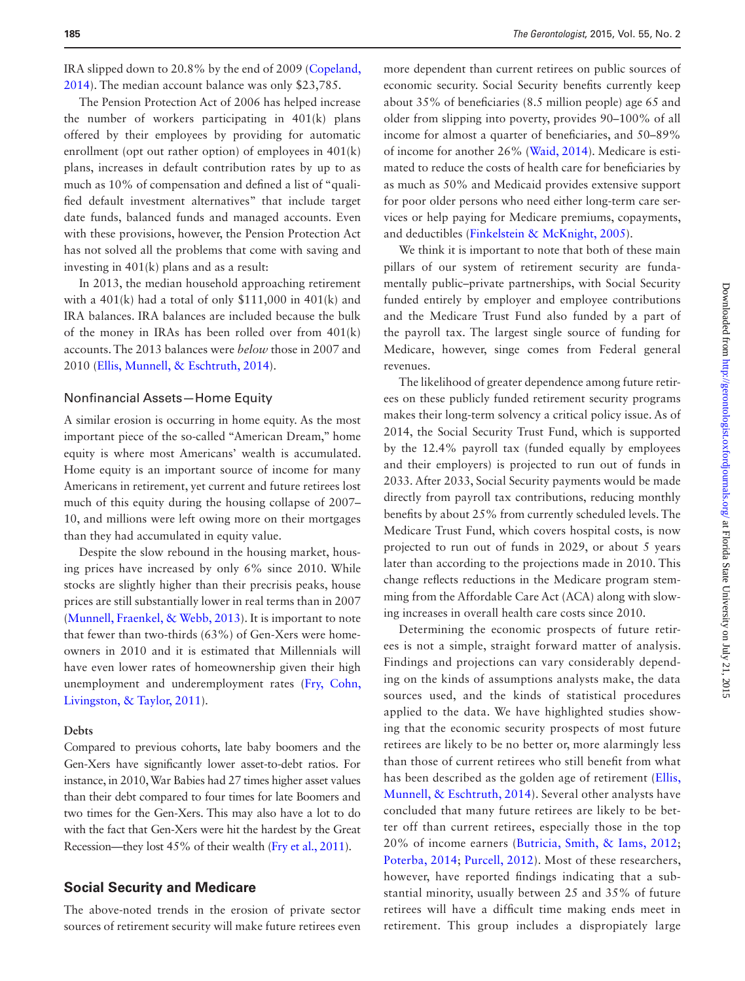IRA slipped down to 20.8% by the end of 2009 ([Copeland,](#page-6-10) [2014\)](#page-6-10). The median account balance was only \$23,785.

The Pension Protection Act of 2006 has helped increase the number of workers participating in 401(k) plans offered by their employees by providing for automatic enrollment (opt out rather option) of employees in  $401(k)$ plans, increases in default contribution rates by up to as much as 10% of compensation and defined a list of "qualified default investment alternatives" that include target date funds, balanced funds and managed accounts. Even with these provisions, however, the Pension Protection Act has not solved all the problems that come with saving and investing in 401(k) plans and as a result:

In 2013, the median household approaching retirement with a  $401(k)$  had a total of only \$111,000 in  $401(k)$  and IRA balances. IRA balances are included because the bulk of the money in IRAs has been rolled over from 401(k) accounts. The 2013 balances were *below* those in 2007 and 2010 ([Ellis, Munnell, & Eschtruth, 2014](#page-6-4)).

#### Nonfinancial Assets—Home Equity

A similar erosion is occurring in home equity. As the most important piece of the so-called "American Dream," home equity is where most Americans' wealth is accumulated. Home equity is an important source of income for many Americans in retirement, yet current and future retirees lost much of this equity during the housing collapse of 2007– 10, and millions were left owing more on their mortgages than they had accumulated in equity value.

Despite the slow rebound in the housing market, housing prices have increased by only 6% since 2010. While stocks are slightly higher than their precrisis peaks, house prices are still substantially lower in real terms than in 2007 [\(Munnell, Fraenkel, & Webb, 2013](#page-6-11)). It is important to note that fewer than two-thirds (63%) of Gen-Xers were homeowners in 2010 and it is estimated that Millennials will have even lower rates of homeownership given their high unemployment and underemployment rates [\(Fry, Cohn,](#page-6-12) [Livingston, & Taylor, 2011](#page-6-12)).

#### **Debts**

Compared to previous cohorts, late baby boomers and the Gen-Xers have significantly lower asset-to-debt ratios. For instance, in 2010, War Babies had 27 times higher asset values than their debt compared to four times for late Boomers and two times for the Gen-Xers. This may also have a lot to do with the fact that Gen-Xers were hit the hardest by the Great Recession—they lost 45% of their wealth [\(Fry et al., 2011\)](#page-6-12).

#### **Social Security and Medicare**

The above-noted trends in the erosion of private sector sources of retirement security will make future retirees even

more dependent than current retirees on public sources of economic security. Social Security benefits currently keep about 35% of beneficiaries (8.5 million people) age 65 and older from slipping into poverty, provides 90–100% of all income for almost a quarter of beneficiaries, and 50–89% of income for another 26% [\(Waid, 2014](#page-7-4)). Medicare is estimated to reduce the costs of health care for beneficiaries by as much as 50% and Medicaid provides extensive support for poor older persons who need either long-term care services or help paying for Medicare premiums, copayments, and deductibles [\(Finkelstein & McKnight, 2005](#page-6-13)).

We think it is important to note that both of these main pillars of our system of retirement security are fundamentally public–private partnerships, with Social Security funded entirely by employer and employee contributions and the Medicare Trust Fund also funded by a part of the payroll tax. The largest single source of funding for Medicare, however, singe comes from Federal general revenues.

The likelihood of greater dependence among future retirees on these publicly funded retirement security programs makes their long-term solvency a critical policy issue. As of 2014, the Social Security Trust Fund, which is supported by the 12.4% payroll tax (funded equally by employees and their employers) is projected to run out of funds in 2033. After 2033, Social Security payments would be made directly from payroll tax contributions, reducing monthly benefits by about 25% from currently scheduled levels. The Medicare Trust Fund, which covers hospital costs, is now projected to run out of funds in 2029, or about 5 years later than according to the projections made in 2010. This change reflects reductions in the Medicare program stemming from the Affordable Care Act (ACA) along with slowing increases in overall health care costs since 2010.

Determining the economic prospects of future retirees is not a simple, straight forward matter of analysis. Findings and projections can vary considerably depending on the kinds of assumptions analysts make, the data sources used, and the kinds of statistical procedures applied to the data. We have highlighted studies showing that the economic security prospects of most future retirees are likely to be no better or, more alarmingly less than those of current retirees who still benefit from what has been described as the golden age of retirement [\(Ellis,](#page-6-4) [Munnell, & Eschtruth, 2014\)](#page-6-4). Several other analysts have concluded that many future retirees are likely to be better off than current retirees, especially those in the top 20% of income earners ([Butricia, Smith, & Iams, 2012;](#page-6-14) [Poterba, 2014](#page-6-15); [Purcell, 2012\)](#page-6-16). Most of these researchers, however, have reported findings indicating that a substantial minority, usually between 25 and 35% of future retirees will have a difficult time making ends meet in retirement. This group includes a dispropiately large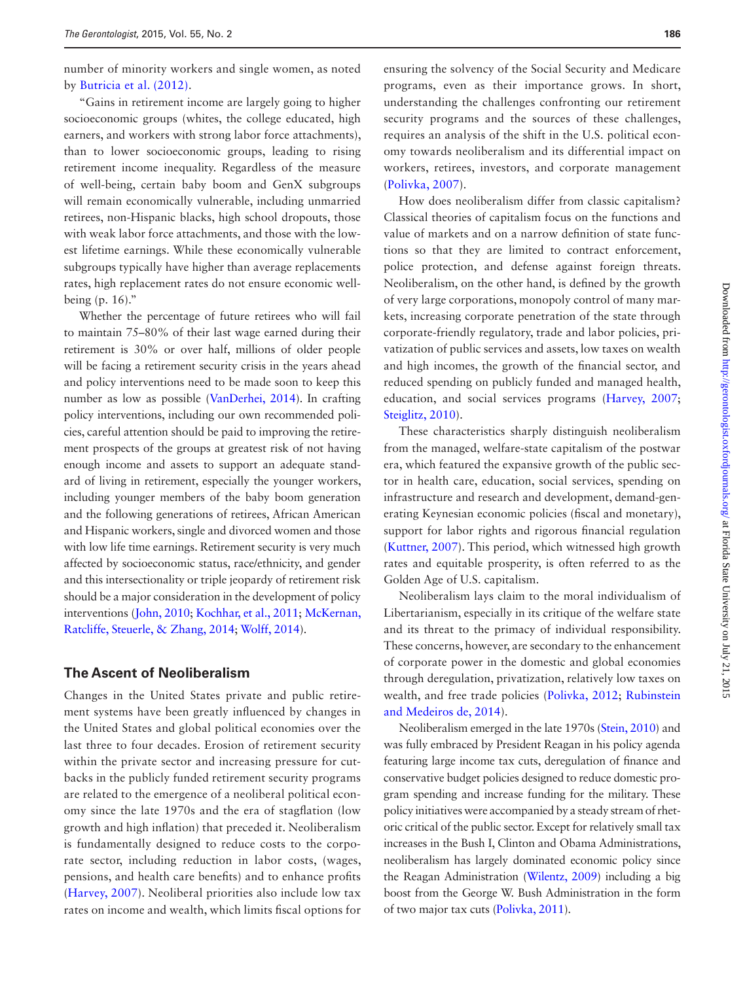number of minority workers and single women, as noted by [Butricia et al. \(2012\).](#page-6-14)

"Gains in retirement income are largely going to higher socioeconomic groups (whites, the college educated, high earners, and workers with strong labor force attachments), than to lower socioeconomic groups, leading to rising retirement income inequality. Regardless of the measure of well-being, certain baby boom and GenX subgroups will remain economically vulnerable, including unmarried retirees, non-Hispanic blacks, high school dropouts, those with weak labor force attachments, and those with the lowest lifetime earnings. While these economically vulnerable subgroups typically have higher than average replacements rates, high replacement rates do not ensure economic wellbeing (p. 16)."

Whether the percentage of future retirees who will fail to maintain 75–80% of their last wage earned during their retirement is 30% or over half, millions of older people will be facing a retirement security crisis in the years ahead and policy interventions need to be made soon to keep this number as low as possible [\(VanDerhei, 2014](#page-7-5)). In crafting policy interventions, including our own recommended policies, careful attention should be paid to improving the retirement prospects of the groups at greatest risk of not having enough income and assets to support an adequate standard of living in retirement, especially the younger workers, including younger members of the baby boom generation and the following generations of retirees, African American and Hispanic workers, single and divorced women and those with low life time earnings. Retirement security is very much affected by socioeconomic status, race/ethnicity, and gender and this intersectionality or triple jeopardy of retirement risk should be a major consideration in the development of policy interventions [\(John, 2010;](#page-6-17) [Kochhar, et al., 2011](#page-6-18); [McKernan,](#page-6-19) [Ratcliffe, Steuerle, & Zhang, 2014;](#page-6-19) [Wolff, 2014](#page-7-6)).

#### **The Ascent of Neoliberalism**

Changes in the United States private and public retirement systems have been greatly influenced by changes in the United States and global political economies over the last three to four decades. Erosion of retirement security within the private sector and increasing pressure for cutbacks in the publicly funded retirement security programs are related to the emergence of a neoliberal political economy since the late 1970s and the era of stagflation (low growth and high inflation) that preceded it. Neoliberalism is fundamentally designed to reduce costs to the corporate sector, including reduction in labor costs, (wages, pensions, and health care benefits) and to enhance profits [\(Harvey, 2007](#page-6-20)). Neoliberal priorities also include low tax rates on income and wealth, which limits fiscal options for ensuring the solvency of the Social Security and Medicare programs, even as their importance grows. In short, understanding the challenges confronting our retirement security programs and the sources of these challenges, requires an analysis of the shift in the U.S. political economy towards neoliberalism and its differential impact on workers, retirees, investors, and corporate management [\(Polivka, 2007\)](#page-6-21).

How does neoliberalism differ from classic capitalism? Classical theories of capitalism focus on the functions and value of markets and on a narrow definition of state functions so that they are limited to contract enforcement, police protection, and defense against foreign threats. Neoliberalism, on the other hand, is defined by the growth of very large corporations, monopoly control of many markets, increasing corporate penetration of the state through corporate-friendly regulatory, trade and labor policies, privatization of public services and assets, low taxes on wealth and high incomes, the growth of the financial sector, and reduced spending on publicly funded and managed health, education, and social services programs [\(Harvey, 2007;](#page-6-20) [Steiglitz, 2010](#page-7-7)).

These characteristics sharply distinguish neoliberalism from the managed, welfare-state capitalism of the postwar era, which featured the expansive growth of the public sector in health care, education, social services, spending on infrastructure and research and development, demand-generating Keynesian economic policies (fiscal and monetary), support for labor rights and rigorous financial regulation [\(Kuttner, 2007\)](#page-6-22). This period, which witnessed high growth rates and equitable prosperity, is often referred to as the Golden Age of U.S. capitalism.

Neoliberalism lays claim to the moral individualism of Libertarianism, especially in its critique of the welfare state and its threat to the primacy of individual responsibility. These concerns, however, are secondary to the enhancement of corporate power in the domestic and global economies through deregulation, privatization, relatively low taxes on wealth, and free trade policies [\(Polivka, 2012](#page-6-23); [Rubinstein](#page-6-24) [and Medeiros de, 2014](#page-6-24)).

Neoliberalism emerged in the late 1970s [\(Stein, 2010\)](#page-7-8) and was fully embraced by President Reagan in his policy agenda featuring large income tax cuts, deregulation of finance and conservative budget policies designed to reduce domestic program spending and increase funding for the military. These policy initiatives were accompanied by a steady stream of rhetoric critical of the public sector. Except for relatively small tax increases in the Bush I, Clinton and Obama Administrations, neoliberalism has largely dominated economic policy since the Reagan Administration [\(Wilentz, 2009](#page-7-9)) including a big boost from the George W. Bush Administration in the form of two major tax cuts [\(Polivka, 2011](#page-6-25)).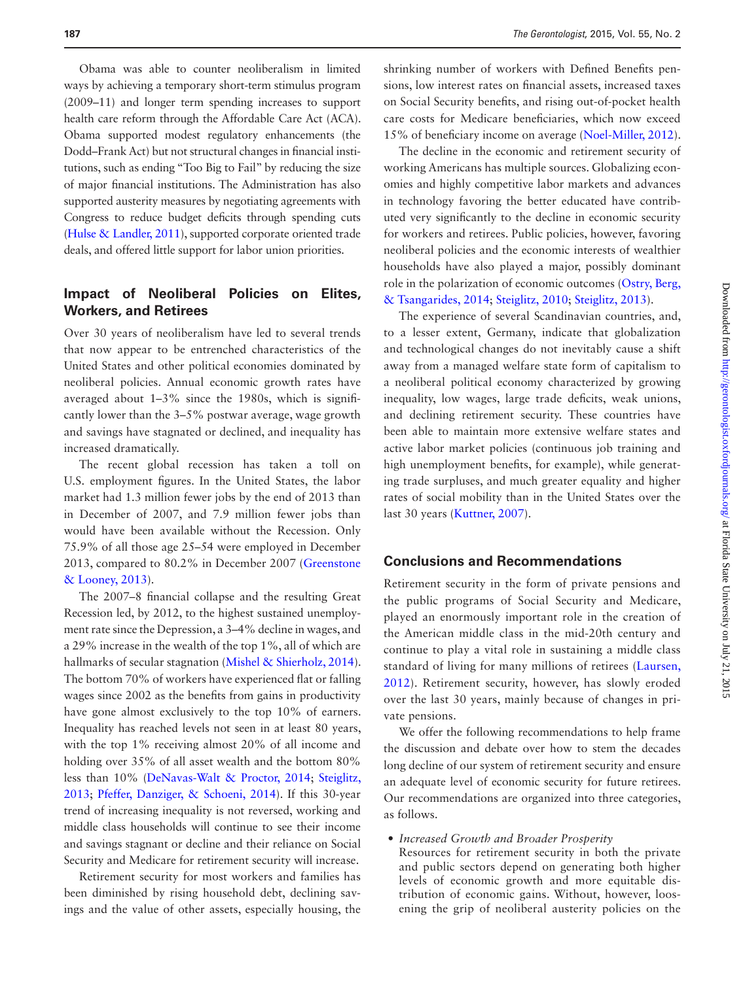Obama was able to counter neoliberalism in limited ways by achieving a temporary short-term stimulus program (2009–11) and longer term spending increases to support health care reform through the Affordable Care Act (ACA). Obama supported modest regulatory enhancements (the Dodd–Frank Act) but not structural changes in financial institutions, such as ending "Too Big to Fail" by reducing the size of major financial institutions. The Administration has also supported austerity measures by negotiating agreements with Congress to reduce budget deficits through spending cuts [\(Hulse & Landler, 2011](#page-6-26)), supported corporate oriented trade deals, and offered little support for labor union priorities.

#### **Impact of Neoliberal Policies on Elites, Workers, and Retirees**

Over 30 years of neoliberalism have led to several trends that now appear to be entrenched characteristics of the United States and other political economies dominated by neoliberal policies. Annual economic growth rates have averaged about 1–3% since the 1980s, which is significantly lower than the 3–5% postwar average, wage growth and savings have stagnated or declined, and inequality has increased dramatically.

The recent global recession has taken a toll on U.S. employment figures. In the United States, the labor market had 1.3 million fewer jobs by the end of 2013 than in December of 2007, and 7.9 million fewer jobs than would have been available without the Recession. Only 75.9% of all those age 25–54 were employed in December 2013, compared to 80.2% in December 2007 [\(Greenstone](#page-6-27) [& Looney, 2013\)](#page-6-27).

The 2007–8 financial collapse and the resulting Great Recession led, by 2012, to the highest sustained unemployment rate since the Depression, a 3–4% decline in wages, and a 29% increase in the wealth of the top 1%, all of which are hallmarks of secular stagnation ([Mishel & Shierholz, 2014](#page-6-28)). The bottom 70% of workers have experienced flat or falling wages since 2002 as the benefits from gains in productivity have gone almost exclusively to the top 10% of earners. Inequality has reached levels not seen in at least 80 years, with the top 1% receiving almost 20% of all income and holding over 35% of all asset wealth and the bottom 80% less than 10% ([DeNavas-Walt & Proctor, 2014;](#page-6-29) [Steiglitz,](#page-7-10) [2013;](#page-7-10) [Pfeffer, Danziger, & Schoeni, 2014\)](#page-6-30). If this 30-year trend of increasing inequality is not reversed, working and middle class households will continue to see their income and savings stagnant or decline and their reliance on Social Security and Medicare for retirement security will increase.

Retirement security for most workers and families has been diminished by rising household debt, declining savings and the value of other assets, especially housing, the

shrinking number of workers with Defined Benefits pensions, low interest rates on financial assets, increased taxes on Social Security benefits, and rising out-of-pocket health care costs for Medicare beneficiaries, which now exceed 15% of beneficiary income on average ([Noel-Miller, 2012\)](#page-6-31).

The decline in the economic and retirement security of working Americans has multiple sources. Globalizing economies and highly competitive labor markets and advances in technology favoring the better educated have contributed very significantly to the decline in economic security for workers and retirees. Public policies, however, favoring neoliberal policies and the economic interests of wealthier households have also played a major, possibly dominant role in the polarization of economic outcomes ([Ostry, Berg,](#page-6-32) [& Tsangarides, 2014;](#page-6-32) [Steiglitz, 2010;](#page-7-7) [Steiglitz, 2013\)](#page-7-10).

The experience of several Scandinavian countries, and, to a lesser extent, Germany, indicate that globalization and technological changes do not inevitably cause a shift away from a managed welfare state form of capitalism to a neoliberal political economy characterized by growing inequality, low wages, large trade deficits, weak unions, and declining retirement security. These countries have been able to maintain more extensive welfare states and active labor market policies (continuous job training and high unemployment benefits, for example), while generating trade surpluses, and much greater equality and higher rates of social mobility than in the United States over the last 30 years ([Kuttner, 2007\)](#page-6-22).

#### **Conclusions and Recommendations**

Retirement security in the form of private pensions and the public programs of Social Security and Medicare, played an enormously important role in the creation of the American middle class in the mid-20th century and continue to play a vital role in sustaining a middle class standard of living for many millions of retirees ([Laursen,](#page-6-1) [2012](#page-6-1)). Retirement security, however, has slowly eroded over the last 30 years, mainly because of changes in private pensions.

We offer the following recommendations to help frame the discussion and debate over how to stem the decades long decline of our system of retirement security and ensure an adequate level of economic security for future retirees. Our recommendations are organized into three categories, as follows.

#### • *Increased Growth and Broader Prosperity*

Resources for retirement security in both the private and public sectors depend on generating both higher levels of economic growth and more equitable distribution of economic gains. Without, however, loosening the grip of neoliberal austerity policies on the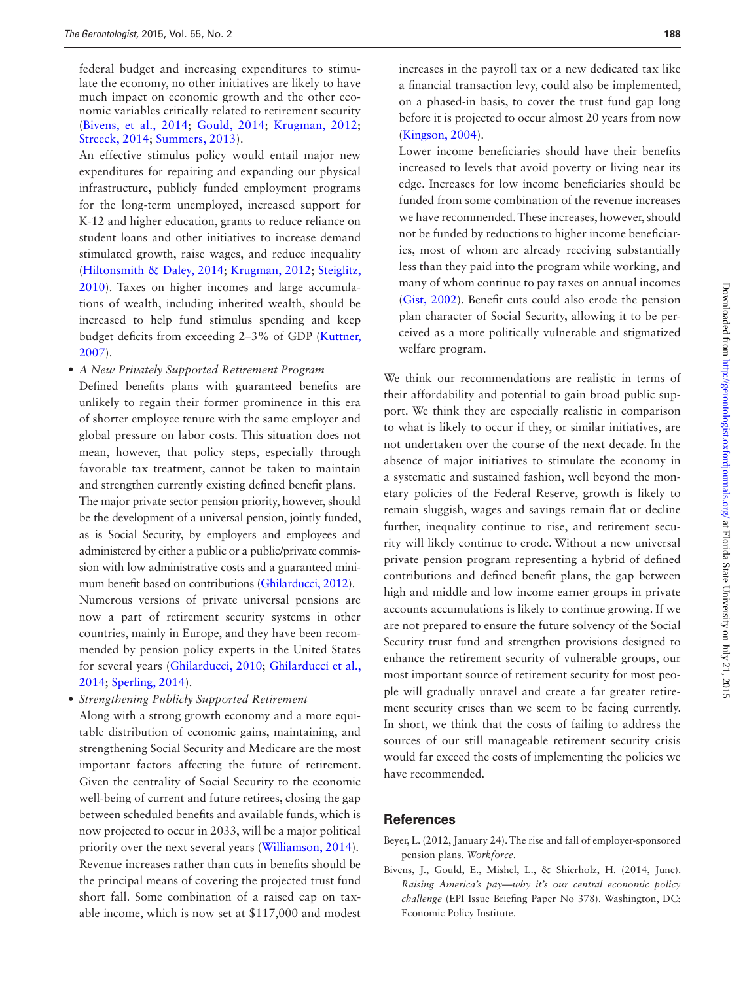federal budget and increasing expenditures to stimulate the economy, no other initiatives are likely to have much impact on economic growth and the other economic variables critically related to retirement security [\(Bivens, et al., 2014](#page-5-1); [Gould, 2014;](#page-6-33) [Krugman, 2012;](#page-6-34) [Streeck, 2014;](#page-7-11) [Summers, 2013](#page-7-12)).

An effective stimulus policy would entail major new expenditures for repairing and expanding our physical infrastructure, publicly funded employment programs for the long-term unemployed, increased support for K-12 and higher education, grants to reduce reliance on student loans and other initiatives to increase demand stimulated growth, raise wages, and reduce inequality [\(Hiltonsmith & Daley, 2014](#page-6-35); [Krugman, 2012](#page-6-34); [Steiglitz,](#page-7-7) [2010\)](#page-7-7). Taxes on higher incomes and large accumulations of wealth, including inherited wealth, should be increased to help fund stimulus spending and keep budget deficits from exceeding 2–3% of GDP [\(Kuttner,](#page-6-22) [2007\)](#page-6-22).

• *A New Privately Supported Retirement Program* Defined benefits plans with guaranteed benefits are unlikely to regain their former prominence in this era of shorter employee tenure with the same employer and global pressure on labor costs. This situation does not mean, however, that policy steps, especially through favorable tax treatment, cannot be taken to maintain and strengthen currently existing defined benefit plans. The major private sector pension priority, however, should be the development of a universal pension, jointly funded, as is Social Security, by employers and employees and administered by either a public or a public/private commission with low administrative costs and a guaranteed minimum benefit based on contributions [\(Ghilarducci, 2012](#page-6-36)). Numerous versions of private universal pensions are now a part of retirement security systems in other countries, mainly in Europe, and they have been recommended by pension policy experts in the United States for several years [\(Ghilarducci, 2010;](#page-6-37) [Ghilarducci et al.,](#page-6-3) [2014;](#page-6-3) [Sperling, 2014\)](#page-7-13).

• *Strengthening Publicly Supported Retirement*

Along with a strong growth economy and a more equitable distribution of economic gains, maintaining, and strengthening Social Security and Medicare are the most important factors affecting the future of retirement. Given the centrality of Social Security to the economic well-being of current and future retirees, closing the gap between scheduled benefits and available funds, which is now projected to occur in 2033, will be a major political priority over the next several years [\(Williamson, 2014](#page-7-14)). Revenue increases rather than cuts in benefits should be the principal means of covering the projected trust fund short fall. Some combination of a raised cap on taxable income, which is now set at \$117,000 and modest increases in the payroll tax or a new dedicated tax like a financial transaction levy, could also be implemented, on a phased-in basis, to cover the trust fund gap long before it is projected to occur almost 20 years from now [\(Kingson, 2004\)](#page-6-38).

Lower income beneficiaries should have their benefits increased to levels that avoid poverty or living near its edge. Increases for low income beneficiaries should be funded from some combination of the revenue increases we have recommended. These increases, however, should not be funded by reductions to higher income beneficiaries, most of whom are already receiving substantially less than they paid into the program while working, and many of whom continue to pay taxes on annual incomes [\(Gist, 2002](#page-6-39)). Benefit cuts could also erode the pension plan character of Social Security, allowing it to be perceived as a more politically vulnerable and stigmatized welfare program.

We think our recommendations are realistic in terms of their affordability and potential to gain broad public support. We think they are especially realistic in comparison to what is likely to occur if they, or similar initiatives, are not undertaken over the course of the next decade. In the absence of major initiatives to stimulate the economy in a systematic and sustained fashion, well beyond the monetary policies of the Federal Reserve, growth is likely to remain sluggish, wages and savings remain flat or decline further, inequality continue to rise, and retirement security will likely continue to erode. Without a new universal private pension program representing a hybrid of defined contributions and defined benefit plans, the gap between high and middle and low income earner groups in private accounts accumulations is likely to continue growing. If we are not prepared to ensure the future solvency of the Social Security trust fund and strengthen provisions designed to enhance the retirement security of vulnerable groups, our most important source of retirement security for most people will gradually unravel and create a far greater retirement security crises than we seem to be facing currently. In short, we think that the costs of failing to address the sources of our still manageable retirement security crisis would far exceed the costs of implementing the policies we have recommended.

#### **References**

- <span id="page-5-0"></span>Beyer, L. (2012, January 24). The rise and fall of employer-sponsored pension plans. *Workforce*.
- <span id="page-5-1"></span>Bivens, J., Gould, E., Mishel, L., & Shierholz, H. (2014, June). *Raising America's pay—why it's our central economic policy challenge* (EPI Issue Briefing Paper No 378). Washington, DC: Economic Policy Institute.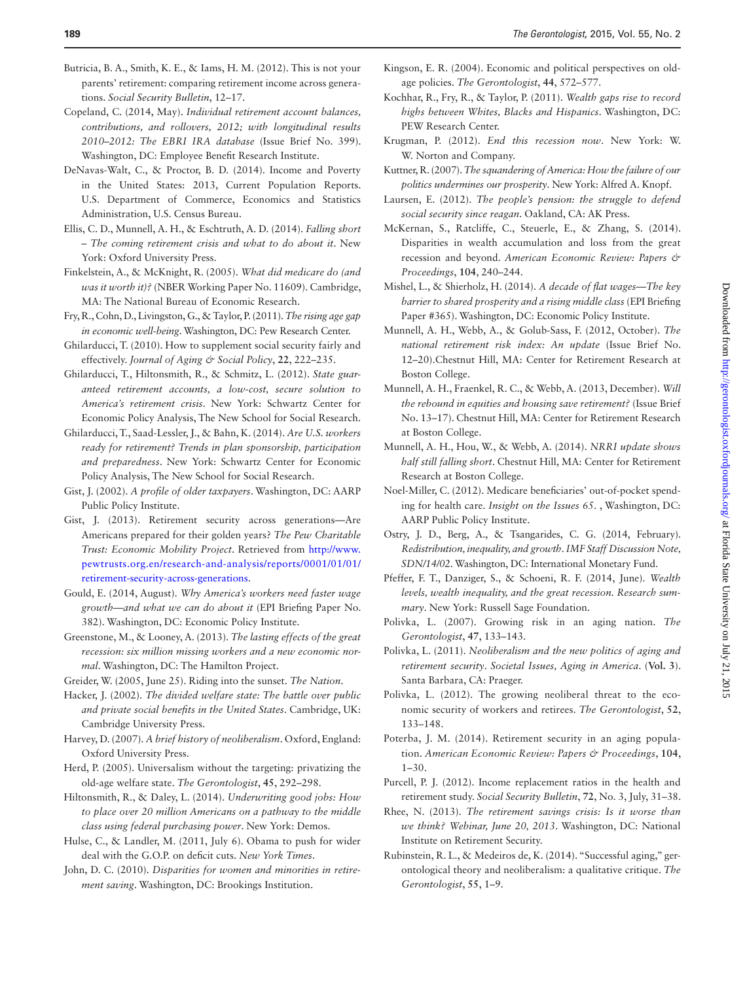- <span id="page-6-14"></span>Butricia, B. A., Smith, K. E., & Iams, H. M. (2012). This is not your parents' retirement: comparing retirement income across generations. *Social Security Bulletin*, 12–17.
- <span id="page-6-10"></span>Copeland, C. (2014, May). *Individual retirement account balances, contributions, and rollovers, 2012; with longitudinal results 2010–2012: The EBRI IRA database* (Issue Brief No. 399). Washington, DC: Employee Benefit Research Institute.
- <span id="page-6-29"></span>DeNavas-Walt, C., & Proctor, B. D. (2014). Income and Poverty in the United States: 2013, Current Population Reports. U.S. Department of Commerce, Economics and Statistics Administration, U.S. Census Bureau.
- <span id="page-6-4"></span>Ellis, C. D., Munnell, A. H., & Eschtruth, A. D. (2014). *Falling short – The coming retirement crisis and what to do about it*. New York: Oxford University Press.
- <span id="page-6-13"></span>Finkelstein, A., & McKnight, R. (2005). *What did medicare do (and was it worth it)?* (NBER Working Paper No. 11609). Cambridge, MA: The National Bureau of Economic Research.
- <span id="page-6-12"></span>Fry, R., Cohn, D., Livingston, G., & Taylor, P. (2011). *The rising age gap in economic well-being*. Washington, DC: Pew Research Center.
- <span id="page-6-37"></span>Ghilarducci, T. (2010). How to supplement social security fairly and effectively. *Journal of Aging & Social Policy*, **22**, 222–235.
- <span id="page-6-36"></span>Ghilarducci, T., Hiltonsmith, R., & Schmitz, L. (2012). *State guaranteed retirement accounts, a low-cost, secure solution to America's retirement crisis*. New York: Schwartz Center for Economic Policy Analysis, The New School for Social Research.
- <span id="page-6-3"></span>Ghilarducci, T., Saad-Lessler, J., & Bahn, K. (2014). *Are U.S. workers ready for retirement? Trends in plan sponsorship, participation and preparedness*. New York: Schwartz Center for Economic Policy Analysis, The New School for Social Research.
- <span id="page-6-39"></span>Gist, J. (2002). *A profile of older taxpayers*. Washington, DC: AARP Public Policy Institute.
- <span id="page-6-5"></span>Gist, J. (2013). Retirement security across generations—Are Americans prepared for their golden years? *The Pew Charitable Trust: Economic Mobility Project*. Retrieved from [http://www.](http://www.pewtrusts.org.en/research-and-analysis/reports/0001/01/01/retirement-security-across-generations) [pewtrusts.org.en/research-and-analysis/reports/0001/01/01/](http://www.pewtrusts.org.en/research-and-analysis/reports/0001/01/01/retirement-security-across-generations) [retirement-security-across-generations](http://www.pewtrusts.org.en/research-and-analysis/reports/0001/01/01/retirement-security-across-generations).
- <span id="page-6-33"></span>Gould, E. (2014, August). *Why America's workers need faster wage growth—and what we can do about it* (EPI Briefing Paper No. 382). Washington, DC: Economic Policy Institute.
- <span id="page-6-27"></span>Greenstone, M., & Looney, A. (2013). *The lasting effects of the great recession: six million missing workers and a new economic normal*. Washington, DC: The Hamilton Project.
- <span id="page-6-9"></span>Greider, W. (2005, June 25). Riding into the sunset. *The Nation*.
- <span id="page-6-0"></span>Hacker, J. (2002). *The divided welfare state: The battle over public and private social benefits in the United States*. Cambridge, UK: Cambridge University Press.
- <span id="page-6-20"></span>Harvey, D. (2007). *A brief history of neoliberalism*. Oxford, England: Oxford University Press.
- <span id="page-6-2"></span>Herd, P. (2005). Universalism without the targeting: privatizing the old-age welfare state. *The Gerontologist*, **45**, 292–298.
- <span id="page-6-35"></span>Hiltonsmith, R., & Daley, L. (2014). *Underwriting good jobs: How to place over 20 million Americans on a pathway to the middle class using federal purchasing power*. New York: Demos.
- <span id="page-6-26"></span>Hulse, C., & Landler, M. (2011, July 6). Obama to push for wider deal with the G.O.P. on deficit cuts. *New York Times*.
- <span id="page-6-17"></span>John, D. C. (2010). *Disparities for women and minorities in retirement saving*. Washington, DC: Brookings Institution.
- <span id="page-6-38"></span>Kingson, E. R. (2004). Economic and political perspectives on oldage policies. *The Gerontologist*, **44**, 572–577.
- <span id="page-6-18"></span>Kochhar, R., Fry, R., & Taylor, P. (2011). *Wealth gaps rise to record highs between Whites, Blacks and Hispanics*. Washington, DC: PEW Research Center.
- <span id="page-6-34"></span>Krugman, P. (2012). *End this recession now*. New York: W. W. Norton and Company.
- <span id="page-6-22"></span>Kuttner, R. (2007). *The squandering of America: How the failure of our politics undermines our prosperity*. New York: Alfred A. Knopf.
- <span id="page-6-1"></span>Laursen, E. (2012). *The people's pension: the struggle to defend social security since reagan*. Oakland, CA: AK Press.
- <span id="page-6-19"></span>McKernan, S., Ratcliffe, C., Steuerle, E., & Zhang, S. (2014). Disparities in wealth accumulation and loss from the great recession and beyond. *American Economic Review: Papers & Proceedings*, **104**, 240–244.
- <span id="page-6-28"></span>Mishel, L., & Shierholz, H. (2014). *A decade of flat wages—The key barrier to shared prosperity and a rising middle class* (EPI Briefing Paper #365). Washington, DC: Economic Policy Institute.
- <span id="page-6-6"></span>Munnell, A. H., Webb, A., & Golub-Sass, F. (2012, October). *The national retirement risk index: An update* (Issue Brief No. 12–20).Chestnut Hill, MA: Center for Retirement Research at Boston College.
- <span id="page-6-11"></span>Munnell, A. H., Fraenkel, R. C., & Webb, A. (2013, December). *Will the rebound in equities and housing save retirement?* (Issue Brief No. 13–17). Chestnut Hill, MA: Center for Retirement Research at Boston College.
- <span id="page-6-8"></span>Munnell, A. H., Hou, W., & Webb, A. (2014). *NRRI update shows half still falling short*. Chestnut Hill, MA: Center for Retirement Research at Boston College.
- <span id="page-6-31"></span>Noel-Miller, C. (2012). Medicare beneficiaries' out-of-pocket spending for health care. *Insight on the Issues 65*. , Washington, DC: AARP Public Policy Institute.
- <span id="page-6-32"></span>Ostry, J. D., Berg, A., & Tsangarides, C. G. (2014, February). *Redistribution, inequality, and growth*. *IMF Staff Discussion Note, SDN/14/02*. Washington, DC: International Monetary Fund.
- <span id="page-6-30"></span>Pfeffer, F. T., Danziger, S., & Schoeni, R. F. (2014, June). *Wealth levels, wealth inequality, and the great recession. Research summary*. New York: Russell Sage Foundation.
- <span id="page-6-21"></span>Polivka, L. (2007). Growing risk in an aging nation. *The Gerontologist*, **47**, 133–143.
- <span id="page-6-25"></span>Polivka, L. (2011). *Neoliberalism and the new politics of aging and retirement security*. *Societal Issues, Aging in America*. (**Vol. 3**). Santa Barbara, CA: Praeger.
- <span id="page-6-23"></span>Polivka, L. (2012). The growing neoliberal threat to the economic security of workers and retirees. *The Gerontologist*, **52**, 133–148.
- <span id="page-6-15"></span>Poterba, J. M. (2014). Retirement security in an aging population. *American Economic Review: Papers & Proceedings*, **104**, 1–30.
- <span id="page-6-16"></span>Purcell, P. J. (2012). Income replacement ratios in the health and retirement study. *Social Security Bulletin*, **72**, No. 3, July, 31–38.
- <span id="page-6-7"></span>Rhee, N. (2013). *The retirement savings crisis: Is it worse than we think? Webinar, June 20, 2013*. Washington, DC: National Institute on Retirement Security.
- <span id="page-6-24"></span>Rubinstein, R. L., & Medeiros de, K. (2014). "Successful aging," gerontological theory and neoliberalism: a qualitative critique. *The Gerontologist*, **55**, 1–9.